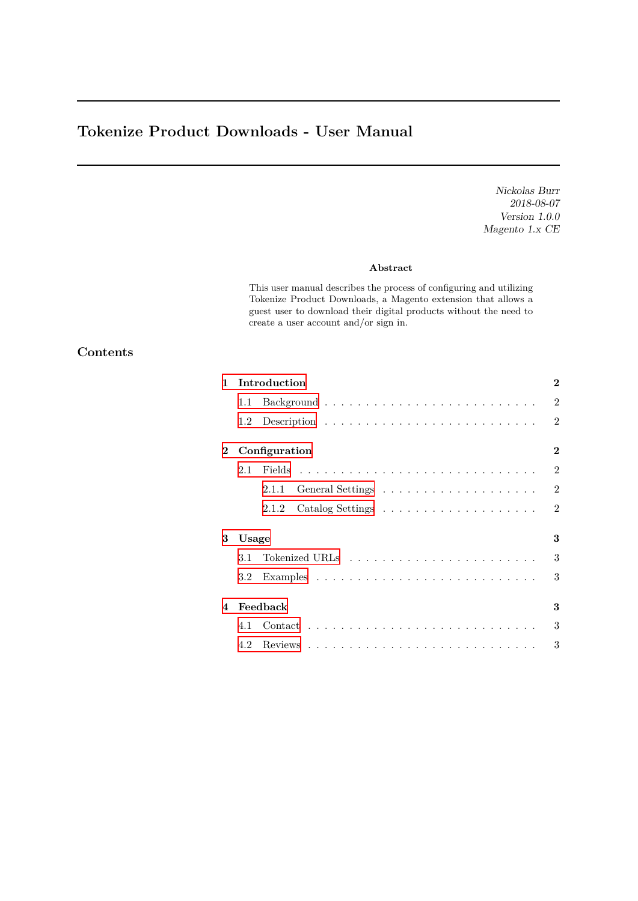# **Tokenize Product Downloads - User Manual**

*Nickolas Burr 2018-08-07 Version 1.0.0 Magento 1.x CE*

### **Abstract**

This user manual describes the process of configuring and utilizing Tokenize Product Downloads, a Magento extension that allows a guest user to download their digital products without the need to create a user account and/or sign in.

### **Contents**

| 1                |       | $\bf{2}$<br>Introduction |                |  |  |  |  |
|------------------|-------|--------------------------|----------------|--|--|--|--|
|                  |       |                          | $\overline{2}$ |  |  |  |  |
|                  | 1.2   |                          | $\overline{2}$ |  |  |  |  |
| $\bf{2}$         |       | Configuration            |                |  |  |  |  |
|                  | 2.1   |                          | $\overline{2}$ |  |  |  |  |
|                  |       |                          | $\overline{2}$ |  |  |  |  |
|                  |       | 2.1.2                    | $\overline{2}$ |  |  |  |  |
| 3                | Usage | 3                        |                |  |  |  |  |
|                  | 3.1   |                          | 3              |  |  |  |  |
|                  |       |                          | 3              |  |  |  |  |
| $\boldsymbol{4}$ |       | Feedback                 |                |  |  |  |  |
|                  |       |                          | 3              |  |  |  |  |
|                  | 4.2   |                          | 3              |  |  |  |  |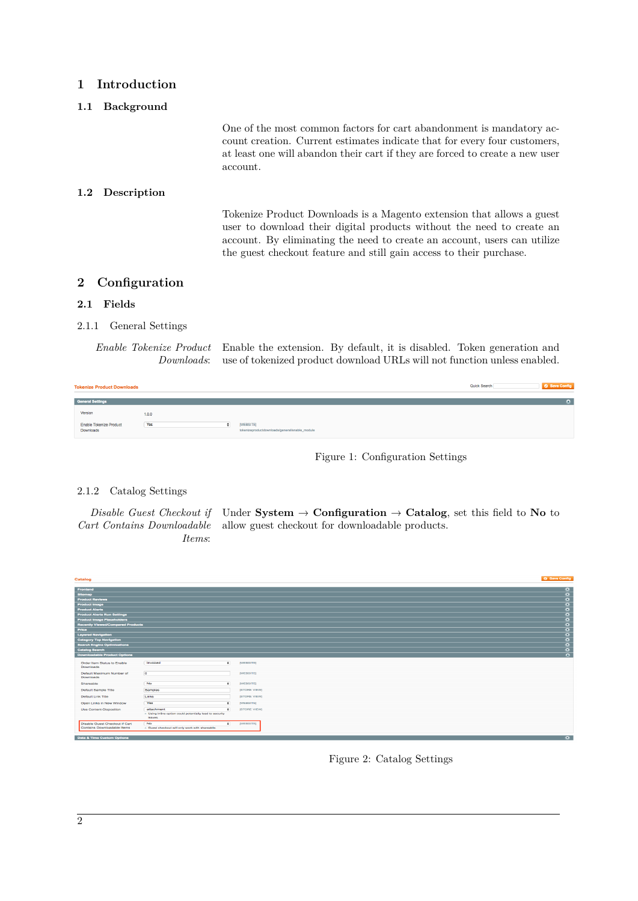### **1 Introduction**

### **1.1 Background**

<span id="page-1-0"></span>One of the most common factors for cart abandonment is mandatory account creation. Current estimates indicate that for every four customers, at least one will abandon their cart if they are forced to create a new user account.

### **1.2 Description**

<span id="page-1-3"></span><span id="page-1-2"></span><span id="page-1-1"></span>Tokenize Product Downloads is a Magento extension that allows a guest user to download their digital products without the need to create an account. By eliminating the need to create an account, users can utilize the guest checkout feature and still gain access to their purchase.

### **2 Configuration**

### **2.1 Fields**

### 2.1.1 General Settings

*Enable Tokenize Product* Enable the extension. By default, it is disabled. Token generation and *Downloads*: use of tokenized product download URLs will not function unless enabled.

| <b>Tokenize Product Downloads</b>           |       |                                                             | <b>Quick Search</b> | Save Config |
|---------------------------------------------|-------|-------------------------------------------------------------|---------------------|-------------|
| <b>General Settings</b>                     |       |                                                             |                     |             |
| Version                                     | 1.0.0 |                                                             |                     |             |
| <b>Enable Tokenize Product</b><br>Downloads | Yes   | [WEBSITE]<br>tokenizeproductdownloads/general/enable_module |                     |             |

<span id="page-1-4"></span>

#### 2.1.2 Catalog Settings

*Disable Guest Checkout if* Under **System**  $\rightarrow$  **Configuration**  $\rightarrow$  **Catalog**, set this field to **No** to *Cart Contains Downloadable Items*: allow guest checkout for downloadable products.

| Catalog                                                                        |                                                                                                |                     | Save Config            |
|--------------------------------------------------------------------------------|------------------------------------------------------------------------------------------------|---------------------|------------------------|
|                                                                                |                                                                                                |                     |                        |
| Frontend                                                                       |                                                                                                |                     | $\bullet$              |
| <b>Sitemap</b>                                                                 |                                                                                                |                     | $\bullet$              |
| <b>Product Reviews</b>                                                         |                                                                                                |                     | $\bullet$              |
| <b>Product Image</b>                                                           |                                                                                                |                     | $\bullet$              |
| <b>Product Alerts</b>                                                          |                                                                                                |                     | $\bullet$              |
| <b>Product Alerts Run Settings</b>                                             |                                                                                                |                     | $\bullet$              |
| <b>Product Image Placeholders</b>                                              |                                                                                                |                     | $\bullet$              |
| <b>Recently Viewed/Compared Products</b>                                       |                                                                                                |                     | $\bullet$              |
| Price<br><b>Layered Navigation</b>                                             |                                                                                                |                     | $\bullet$              |
| <b>Category Top Navigation</b>                                                 |                                                                                                |                     | $\bullet$<br>$\bullet$ |
| <b>Search Engine Optimizations</b>                                             |                                                                                                |                     | $\bullet$              |
| <b>Catalog Search</b>                                                          |                                                                                                |                     | $\bullet$              |
| <b>Downloadable Product Options</b>                                            |                                                                                                |                     | $\bullet$              |
|                                                                                |                                                                                                |                     |                        |
| Order Item Status to Enable<br>Downloads                                       | Invoiced<br>$\bullet$                                                                          | [WEBSITE]           |                        |
| Default Maximum Number of<br>Downloads                                         | $\overline{0}$                                                                                 | [WEBSITE]           |                        |
| Shareable                                                                      | <b>No</b><br>$\bullet$                                                                         | [WEBSITE]           |                        |
| Default Sample Title                                                           | <b>Samples</b>                                                                                 | <b>ISTORE VIEW)</b> |                        |
| Default Link Title                                                             | Links                                                                                          | [STORE VIEW]        |                        |
| Open Links in New Window                                                       | Yes<br>٠                                                                                       | [WEBSITE]           |                        |
|                                                                                |                                                                                                |                     |                        |
| Use Content-Disposition                                                        | attachment<br>$\bullet$<br>- Using inline option could potentially lead to security<br>issues. | [STORE VIEW]        |                        |
| Disable Guest Checkout if Cart                                                 | <b>No</b><br>$\bullet$                                                                         | [WEBSITE]           |                        |
| Contains Downloadable Items<br>A Guest checkout will only work with shareable. |                                                                                                |                     |                        |
| Date & Time Custom Options                                                     |                                                                                                |                     | $\bullet$              |

Figure 2: Catalog Settings